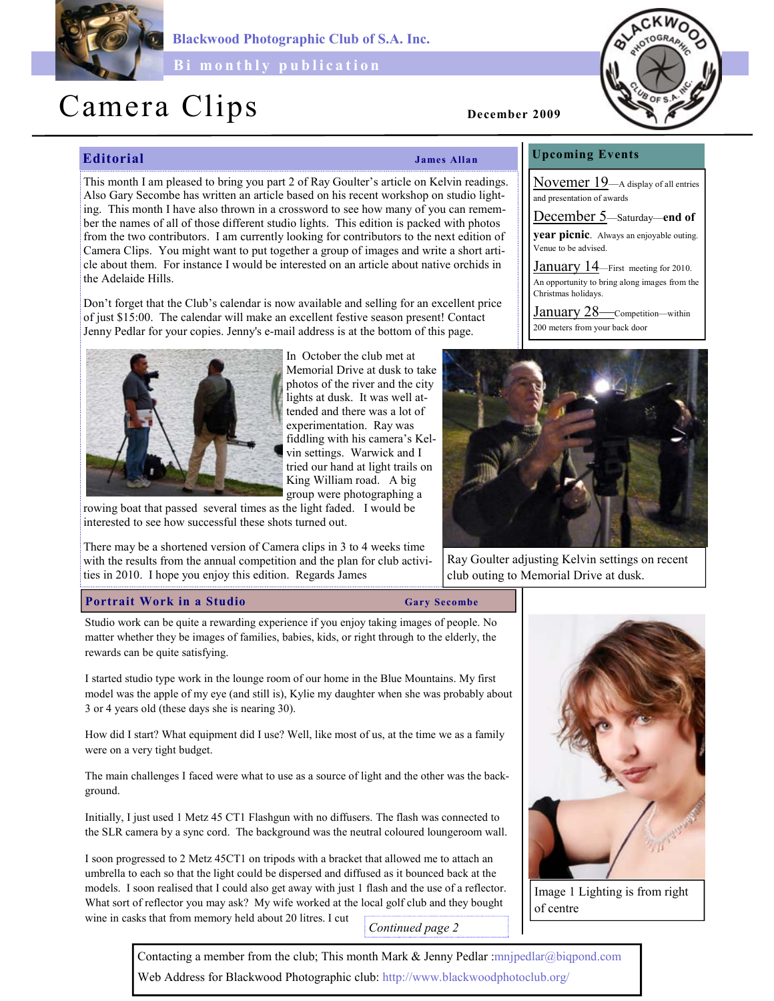

Blackwood Photographic Club of S.A. Inc.

Bi monthly publication

# Camera Clips December 2009

Editorial James Allan

This month I am pleased to bring you part 2 of Ray Goulter's article on Kelvin readings. Also Gary Secombe has written an article based on his recent workshop on studio lighting. This month I have also thrown in a crossword to see how many of you can remember the names of all of those different studio lights. This edition is packed with photos from the two contributors. I am currently looking for contributors to the next edition of Camera Clips. You might want to put together a group of images and write a short article about them. For instance I would be interested on an article about native orchids in the Adelaide Hills.

Don't forget that the Club's calendar is now available and selling for an excellent price of just \$15:00. The calendar will make an excellent festive season present! Contact Jenny Pedlar for your copies. Jenny's e-mail address is at the bottom of this page.



In October the club met at Memorial Drive at dusk to take photos of the river and the city lights at dusk. It was well attended and there was a lot of experimentation. Ray was fiddling with his camera's Kelvin settings. Warwick and I tried our hand at light trails on King William road. A big group were photographing a

rowing boat that passed several times as the light faded. I would be interested to see how successful these shots turned out.

There may be a shortened version of Camera clips in 3 to 4 weeks time with the results from the annual competition and the plan for club activities in 2010. I hope you enjoy this edition. Regards James

## Portrait Work in a Studio Gary Secombe

Studio work can be quite a rewarding experience if you enjoy taking images of people. No matter whether they be images of families, babies, kids, or right through to the elderly, the rewards can be quite satisfying.

I started studio type work in the lounge room of our home in the Blue Mountains. My first model was the apple of my eye (and still is), Kylie my daughter when she was probably about 3 or 4 years old (these days she is nearing 30).

How did I start? What equipment did I use? Well, like most of us, at the time we as a family were on a very tight budget.

The main challenges I faced were what to use as a source of light and the other was the background.

Initially, I just used 1 Metz 45 CT1 Flashgun with no diffusers. The flash was connected to the SLR camera by a sync cord. The background was the neutral coloured loungeroom wall.

I soon progressed to 2 Metz 45CT1 on tripods with a bracket that allowed me to attach an umbrella to each so that the light could be dispersed and diffused as it bounced back at the models. I soon realised that I could also get away with just 1 flash and the use of a reflector. What sort of reflector you may ask? My wife worked at the local golf club and they bought wine in casks that from memory held about 20 litres. I cut Continued page 2



Image 1 Lighting is from right of centre

# Upcoming Events

Novemer 19—A display of all entries and presentation of awards

December 5—Saturday—end of

year picnic. Always an enjoyable outing. Venue to be advised.

January 14—First meeting for 2010. An opportunity to bring along images from the Christmas holidays.

January 28—Competition—within 200 meters from your back door



Ray Goulter adjusting Kelvin settings on recent club outing to Memorial Drive at dusk.

Contacting a member from the club; This month Mark & Jenny Pedlar :mnjpedlar@biqpond.com Web Address for Blackwood Photographic club: http://www.blackwoodphotoclub.org/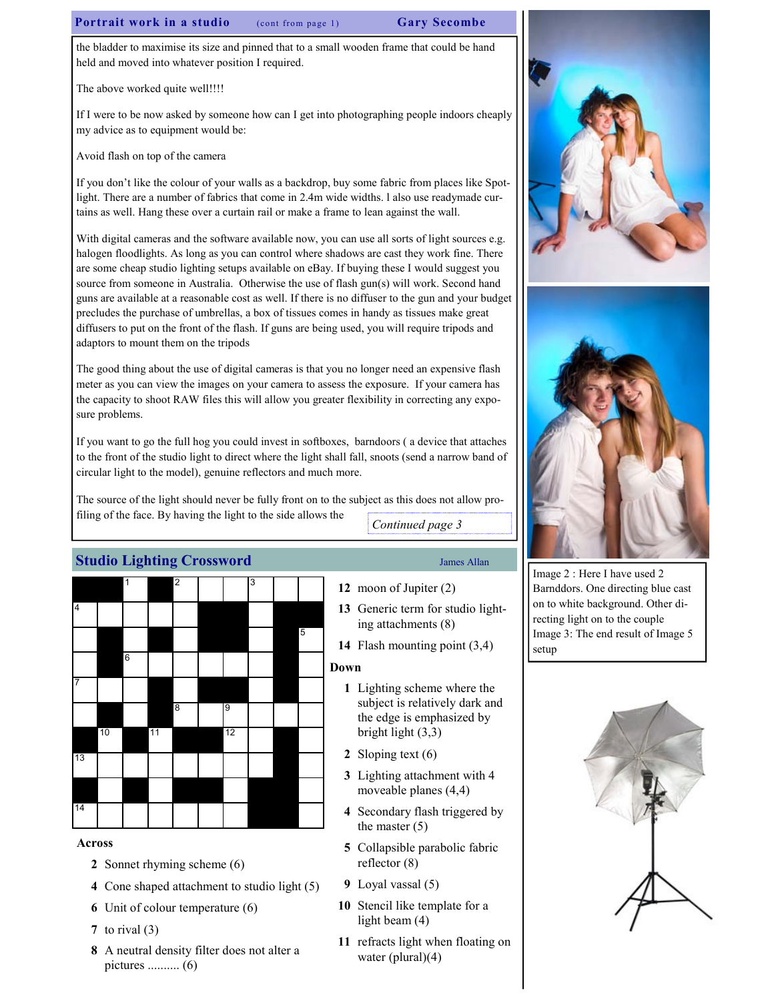# Portrait work in a studio (cont from page 1) Gary Secombe

the bladder to maximise its size and pinned that to a small wooden frame that could be hand held and moved into whatever position I required.

The above worked quite well!!!!

If I were to be now asked by someone how can I get into photographing people indoors cheaply my advice as to equipment would be:

Avoid flash on top of the camera

If you don't like the colour of your walls as a backdrop, buy some fabric from places like Spotlight. There are a number of fabrics that come in 2.4m wide widths. l also use readymade curtains as well. Hang these over a curtain rail or make a frame to lean against the wall.

With digital cameras and the software available now, you can use all sorts of light sources e.g. halogen floodlights. As long as you can control where shadows are cast they work fine. There are some cheap studio lighting setups available on eBay. If buying these I would suggest you source from someone in Australia. Otherwise the use of flash gun(s) will work. Second hand guns are available at a reasonable cost as well. If there is no diffuser to the gun and your budget precludes the purchase of umbrellas, a box of tissues comes in handy as tissues make great diffusers to put on the front of the flash. If guns are being used, you will require tripods and adaptors to mount them on the tripods

The good thing about the use of digital cameras is that you no longer need an expensive flash meter as you can view the images on your camera to assess the exposure. If your camera has the capacity to shoot RAW files this will allow you greater flexibility in correcting any exposure problems.

If you want to go the full hog you could invest in softboxes, barndoors ( a device that attaches to the front of the studio light to direct where the light shall fall, snoots (send a narrow band of circular light to the model), genuine reflectors and much more.

The source of the light should never be fully front on to the subject as this does not allow profiling of the face. By having the light to the side allows the Continued page 3

# Studio Lighting Crossword James Allan



### Across

- 2 Sonnet rhyming scheme (6)
- 4 Cone shaped attachment to studio light (5)
- 6 Unit of colour temperature (6)
- 7 to rival  $(3)$
- 8 A neutral density filter does not alter a pictures .......... (6)

- 12 moon of Jupiter (2)
- 13 Generic term for studio lighting attachments (8)
- 14 Flash mounting point (3,4)

# Down

- 1 Lighting scheme where the subject is relatively dark and the edge is emphasized by bright light (3,3)
- 2 Sloping text (6)
- 3 Lighting attachment with 4 moveable planes (4,4)
- 4 Secondary flash triggered by the master (5)
- 5 Collapsible parabolic fabric reflector (8)
- 9 Loyal vassal (5)
- 10 Stencil like template for a light beam (4)
- 11 refracts light when floating on water (plural)(4)





Image 2 : Here I have used 2 Barnddors. One directing blue cast on to white background. Other directing light on to the couple Image 3: The end result of Image 5 setup

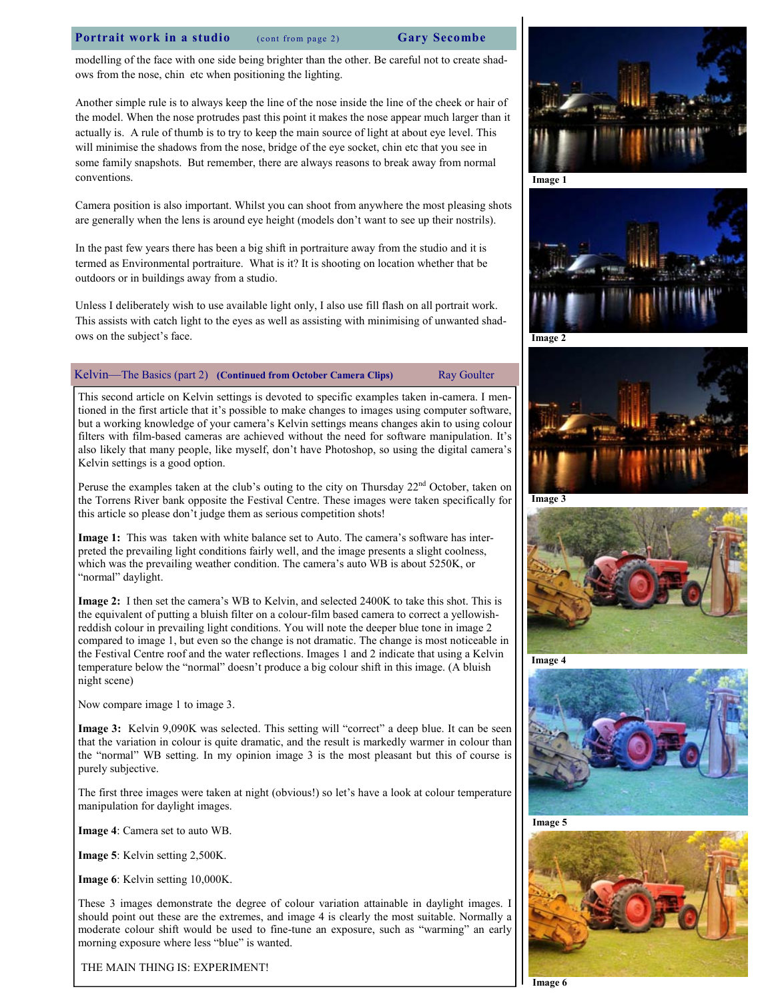### Portrait work in a studio (cont from page 2) Gary Secombe

modelling of the face with one side being brighter than the other. Be careful not to create shadows from the nose, chin etc when positioning the lighting.

Another simple rule is to always keep the line of the nose inside the line of the cheek or hair of the model. When the nose protrudes past this point it makes the nose appear much larger than it actually is. A rule of thumb is to try to keep the main source of light at about eye level. This will minimise the shadows from the nose, bridge of the eye socket, chin etc that you see in some family snapshots. But remember, there are always reasons to break away from normal conventions.

Camera position is also important. Whilst you can shoot from anywhere the most pleasing shots are generally when the lens is around eye height (models don't want to see up their nostrils).

In the past few years there has been a big shift in portraiture away from the studio and it is termed as Environmental portraiture. What is it? It is shooting on location whether that be outdoors or in buildings away from a studio.

Unless I deliberately wish to use available light only, I also use fill flash on all portrait work. This assists with catch light to the eyes as well as assisting with minimising of unwanted shadows on the subject's face.

### Kelvin—The Basics (part 2) (Continued from October Camera Clips) Ray Goulter

This second article on Kelvin settings is devoted to specific examples taken in-camera. I mentioned in the first article that it's possible to make changes to images using computer software, but a working knowledge of your camera's Kelvin settings means changes akin to using colour filters with film-based cameras are achieved without the need for software manipulation. It's also likely that many people, like myself, don't have Photoshop, so using the digital camera's Kelvin settings is a good option.

Peruse the examples taken at the club's outing to the city on Thursday  $22<sup>nd</sup>$  October, taken on the Torrens River bank opposite the Festival Centre. These images were taken specifically for this article so please don't judge them as serious competition shots!

Image 1: This was taken with white balance set to Auto. The camera's software has interpreted the prevailing light conditions fairly well, and the image presents a slight coolness, which was the prevailing weather condition. The camera's auto WB is about 5250K, or "normal" daylight.

Image 2: I then set the camera's WB to Kelvin, and selected 2400K to take this shot. This is the equivalent of putting a bluish filter on a colour-film based camera to correct a yellowishreddish colour in prevailing light conditions. You will note the deeper blue tone in image 2 compared to image 1, but even so the change is not dramatic. The change is most noticeable in the Festival Centre roof and the water reflections. Images 1 and 2 indicate that using a Kelvin temperature below the "normal" doesn't produce a big colour shift in this image. (A bluish night scene)

Now compare image 1 to image 3.

Image 3: Kelvin 9,090K was selected. This setting will "correct" a deep blue. It can be seen that the variation in colour is quite dramatic, and the result is markedly warmer in colour than the "normal" WB setting. In my opinion image 3 is the most pleasant but this of course is purely subjective.

The first three images were taken at night (obvious!) so let's have a look at colour temperature manipulation for daylight images.

Image 4: Camera set to auto WB.

Image 5: Kelvin setting 2,500K.

Image 6: Kelvin setting 10,000K.

These 3 images demonstrate the degree of colour variation attainable in daylight images. I should point out these are the extremes, and image 4 is clearly the most suitable. Normally a moderate colour shift would be used to fine-tune an exposure, such as "warming" an early morning exposure where less "blue" is wanted.

THE MAIN THING IS: EXPERIMENT!



Image 1





Image 3











Image 6